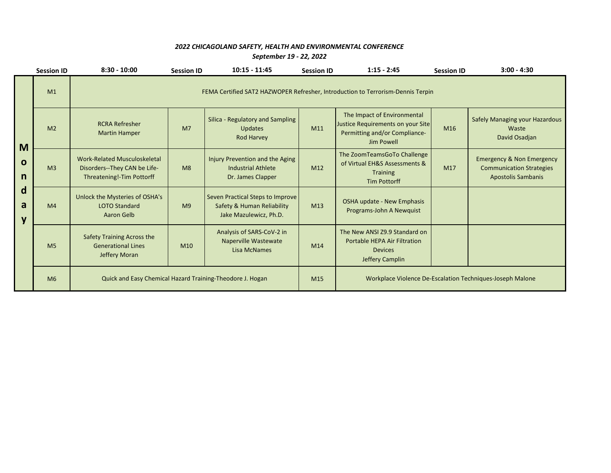## *2022 CHICAGOLAND SAFETY, HEALTH AND ENVIRONMENTAL CONFERENCE*

*September 19 - 22, 2022*

|                                      | <b>Session ID</b> | $8:30 - 10:00$                                                                                   | <b>Session ID</b> | $10:15 - 11:45$                                                                          | <b>Session ID</b> | $1:15 - 2:45$                                                                                                   | <b>Session ID</b> | $3:00 - 4:30$                                                                                        |  |  |
|--------------------------------------|-------------------|--------------------------------------------------------------------------------------------------|-------------------|------------------------------------------------------------------------------------------|-------------------|-----------------------------------------------------------------------------------------------------------------|-------------------|------------------------------------------------------------------------------------------------------|--|--|
| M<br>$\mathbf 0$<br>n<br>d<br>a<br>y | M1                | FEMA Certified SAT2 HAZWOPER Refresher, Introduction to Terrorism-Dennis Terpin                  |                   |                                                                                          |                   |                                                                                                                 |                   |                                                                                                      |  |  |
|                                      | M <sub>2</sub>    | <b>RCRA Refresher</b><br><b>Martin Hamper</b>                                                    | M <sub>7</sub>    | Silica - Regulatory and Sampling<br><b>Updates</b><br><b>Rod Harvey</b>                  | M11               | The Impact of Environmental<br>Justice Requirements on your Site<br>Permitting and/or Compliance-<br>Jim Powell | M <sub>16</sub>   | <b>Safely Managing your Hazardous</b><br>Waste<br>David Osadjan                                      |  |  |
|                                      | M <sub>3</sub>    | <b>Work-Related Musculoskeletal</b><br>Disorders--They CAN be Life-<br>Threatening!-Tim Pottorff | M8                | Injury Prevention and the Aging<br>Industrial Athlete<br>Dr. James Clapper               | M12               | The ZoomTeamsGoTo Challenge<br>of Virtual EH&S Assessments &<br><b>Training</b><br><b>Tim Pottorff</b>          | M17               | <b>Emergency &amp; Non Emergency</b><br><b>Communication Strategies</b><br><b>Apostolis Sambanis</b> |  |  |
|                                      | M <sub>4</sub>    | Unlock the Mysteries of OSHA's<br><b>LOTO Standard</b><br>Aaron Gelb                             | M <sub>9</sub>    | Seven Practical Steps to Improve<br>Safety & Human Reliability<br>Jake Mazulewicz, Ph.D. | M13               | OSHA update - New Emphasis<br>Programs-John A Newquist                                                          |                   |                                                                                                      |  |  |
|                                      | M <sub>5</sub>    | Safety Training Across the<br><b>Generational Lines</b><br>Jeffery Moran                         | M <sub>10</sub>   | Analysis of SARS-CoV-2 in<br><b>Naperville Wastewate</b><br><b>Lisa McNames</b>          | M14               | The New ANSI Z9.9 Standard on<br><b>Portable HEPA Air Filtration</b><br><b>Devices</b><br>Jeffery Camplin       |                   |                                                                                                      |  |  |
|                                      | M6                | Quick and Easy Chemical Hazard Training-Theodore J. Hogan                                        |                   |                                                                                          |                   | Workplace Violence De-Escalation Techniques-Joseph Malone                                                       |                   |                                                                                                      |  |  |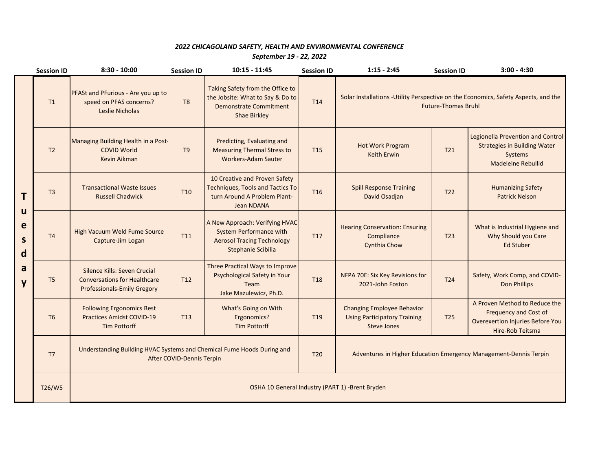## *2022 CHICAGOLAND SAFETY, HEALTH AND ENVIRONMENTAL CONFERENCE September 19 - 22, 2022*

|                                            | <b>Session ID</b> | $8:30 - 10:00$                                                                                            | <b>Session ID</b> | $10:15 - 11:45$                                                                                                               | <b>Session ID</b> | $1:15 - 2:45$                                                                                                     | <b>Session ID</b> | $3:00 - 4:30$                                                                                                         |  |
|--------------------------------------------|-------------------|-----------------------------------------------------------------------------------------------------------|-------------------|-------------------------------------------------------------------------------------------------------------------------------|-------------------|-------------------------------------------------------------------------------------------------------------------|-------------------|-----------------------------------------------------------------------------------------------------------------------|--|
| T<br>u<br>e<br>$\mathsf{s}$<br>d<br>a<br>y | T1                | <b>PFASt and PFurious - Are you up to</b><br>speed on PFAS concerns?<br>Leslie Nicholas                   | T <sub>8</sub>    | Taking Safety from the Office to<br>the Jobsite: What to Say & Do to<br><b>Demonstrate Commitment</b><br>Shae Birkley         | T <sub>14</sub>   | Solar Installations - Utility Perspective on the Economics, Safety Aspects, and the<br><b>Future-Thomas Bruhl</b> |                   |                                                                                                                       |  |
|                                            | T <sub>2</sub>    | Managing Building Health in a Post-<br><b>COVID World</b><br>Kevin Aikman                                 | T <sub>9</sub>    | Predicting, Evaluating and<br><b>Measuring Thermal Stress to</b><br><b>Workers-Adam Sauter</b>                                | T <sub>15</sub>   | <b>Hot Work Program</b><br><b>Keith Erwin</b>                                                                     | T21               | Legionella Prevention and Control<br><b>Strategies in Building Water</b><br>Systems<br><b>Madeleine Rebullid</b>      |  |
|                                            | T <sub>3</sub>    | <b>Transactional Waste Issues</b><br><b>Russell Chadwick</b>                                              | T <sub>10</sub>   | 10 Creative and Proven Safety<br><b>Techniques, Tools and Tactics To</b><br>turn Around A Problem Plant-<br><b>Jean NDANA</b> | T <sub>16</sub>   | <b>Spill Response Training</b><br>David Osadjan                                                                   | T <sub>22</sub>   | <b>Humanizing Safety</b><br><b>Patrick Nelson</b>                                                                     |  |
|                                            | T4                | High Vacuum Weld Fume Source<br>Capture-Jim Logan                                                         | T <sub>11</sub>   | A New Approach: Verifying HVAC<br><b>System Performance with</b><br><b>Aerosol Tracing Technology</b><br>Stephanie Scibilia   | T <sub>17</sub>   | <b>Hearing Conservation: Ensuring</b><br>Compliance<br><b>Cynthia Chow</b>                                        | T <sub>23</sub>   | What is Industrial Hygiene and<br>Why Should you Care<br><b>Ed Stuber</b>                                             |  |
|                                            | T <sub>5</sub>    | Silence Kills: Seven Crucial<br><b>Conversations for Healthcare</b><br><b>Professionals-Emily Gregory</b> | T <sub>12</sub>   | Three Practical Ways to Improve<br>Psychological Safety in Your<br>Team<br>Jake Mazulewicz, Ph.D.                             | <b>T18</b>        | NFPA 70E: Six Key Revisions for<br>2021-John Foston                                                               | T <sub>24</sub>   | Safety, Work Comp, and COVID-<br><b>Don Phillips</b>                                                                  |  |
|                                            | T <sub>6</sub>    | <b>Following Ergonomics Best</b><br><b>Practices Amidst COVID-19</b><br><b>Tim Pottorff</b>               | T <sub>13</sub>   | What's Going on With<br><b>Ergonomics?</b><br><b>Tim Pottorff</b>                                                             | T <sub>19</sub>   | <b>Changing Employee Behavior</b><br><b>Using Participatory Training</b><br><b>Steve Jones</b>                    | T <sub>25</sub>   | A Proven Method to Reduce the<br><b>Frequency and Cost of</b><br>Overexertion Injuries Before You<br>Hire-Rob Teitsma |  |
|                                            | T <sub>7</sub>    | Understanding Building HVAC Systems and Chemical Fume Hoods During and<br>After COVID-Dennis Terpin       |                   |                                                                                                                               | <b>T20</b>        | Adventures in Higher Education Emergency Management-Dennis Terpin                                                 |                   |                                                                                                                       |  |
|                                            | T26/W5            | OSHA 10 General Industry (PART 1) -Brent Bryden                                                           |                   |                                                                                                                               |                   |                                                                                                                   |                   |                                                                                                                       |  |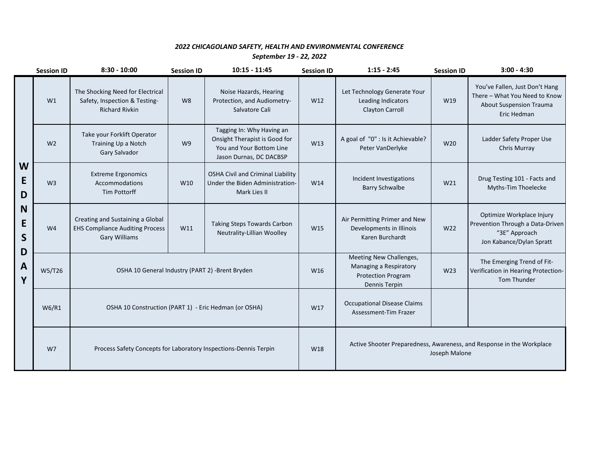## *2022 CHICAGOLAND SAFETY, HEALTH AND ENVIRONMENTAL CONFERENCE September 19 - 22, 2022*

|                                           | <b>Session ID</b> | $8:30 - 10:00$                                                                                     | <b>Session ID</b> | $10:15 - 11:45$                                                                                                   | <b>Session ID</b> | $1:15 - 2:45$                                                                                   | <b>Session ID</b> | $3:00 - 4:30$                                                                                                    |
|-------------------------------------------|-------------------|----------------------------------------------------------------------------------------------------|-------------------|-------------------------------------------------------------------------------------------------------------------|-------------------|-------------------------------------------------------------------------------------------------|-------------------|------------------------------------------------------------------------------------------------------------------|
| W<br>E<br>D<br>N<br>E<br>S<br>D<br>A<br>Y | W1                | The Shocking Need for Electrical<br>Safety, Inspection & Testing-<br><b>Richard Rivkin</b>         | W <sub>8</sub>    | Noise Hazards, Hearing<br>Protection, and Audiometry-<br>Salvatore Cali                                           | W12               | Let Technology Generate Your<br>Leading Indicators<br><b>Clayton Carroll</b>                    | W19               | You've Fallen, Just Don't Hang<br>There - What You Need to Know<br><b>About Suspension Trauma</b><br>Eric Hedman |
|                                           | W <sub>2</sub>    | Take your Forklift Operator<br>Training Up a Notch<br>Gary Salvador                                | W <sub>9</sub>    | Tagging In: Why Having an<br>Onsight Therapist is Good for<br>You and Your Bottom Line<br>Jason Durnas, DC DACBSP | W13               | A goal of "0" : Is it Achievable?<br>Peter VanDerlyke                                           | W20               | Ladder Safety Proper Use<br>Chris Murray                                                                         |
|                                           | W <sub>3</sub>    | <b>Extreme Ergonomics</b><br>Accommodations<br><b>Tim Pottorff</b>                                 | W10               | OSHA Civil and Criminal Liability<br>Under the Biden Administration-<br>Mark Lies II                              | W14               | Incident Investigations<br><b>Barry Schwalbe</b>                                                | W21               | Drug Testing 101 - Facts and<br>Myths-Tim Thoelecke                                                              |
|                                           | W <sub>4</sub>    | Creating and Sustaining a Global<br><b>EHS Compliance Auditing Process</b><br><b>Gary Williams</b> | W11               | Taking Steps Towards Carbon<br>Neutrality-Lillian Woolley                                                         | W15               | Air Permitting Primer and New<br>Developments in Illinois<br>Karen Burchardt                    | W22               | Optimize Workplace Injury<br>Prevention Through a Data-Driven<br>"3E" Approach<br>Jon Kabance/Dylan Spratt       |
|                                           | W5/T26            | OSHA 10 General Industry (PART 2) -Brent Bryden                                                    |                   |                                                                                                                   | W16               | Meeting New Challenges,<br>Managing a Respiratory<br><b>Protection Program</b><br>Dennis Terpin | W23               | The Emerging Trend of Fit-<br>Verification in Hearing Protection-<br>Tom Thunder                                 |
|                                           | W6/R1             | OSHA 10 Construction (PART 1) - Eric Hedman (or OSHA)                                              |                   |                                                                                                                   | W17               | <b>Occupational Disease Claims</b><br>Assessment-Tim Frazer                                     |                   |                                                                                                                  |
|                                           | W <sub>7</sub>    | Process Safety Concepts for Laboratory Inspections-Dennis Terpin                                   |                   |                                                                                                                   |                   | Active Shooter Preparedness, Awareness, and Response in the Workplace<br>Joseph Malone          |                   |                                                                                                                  |